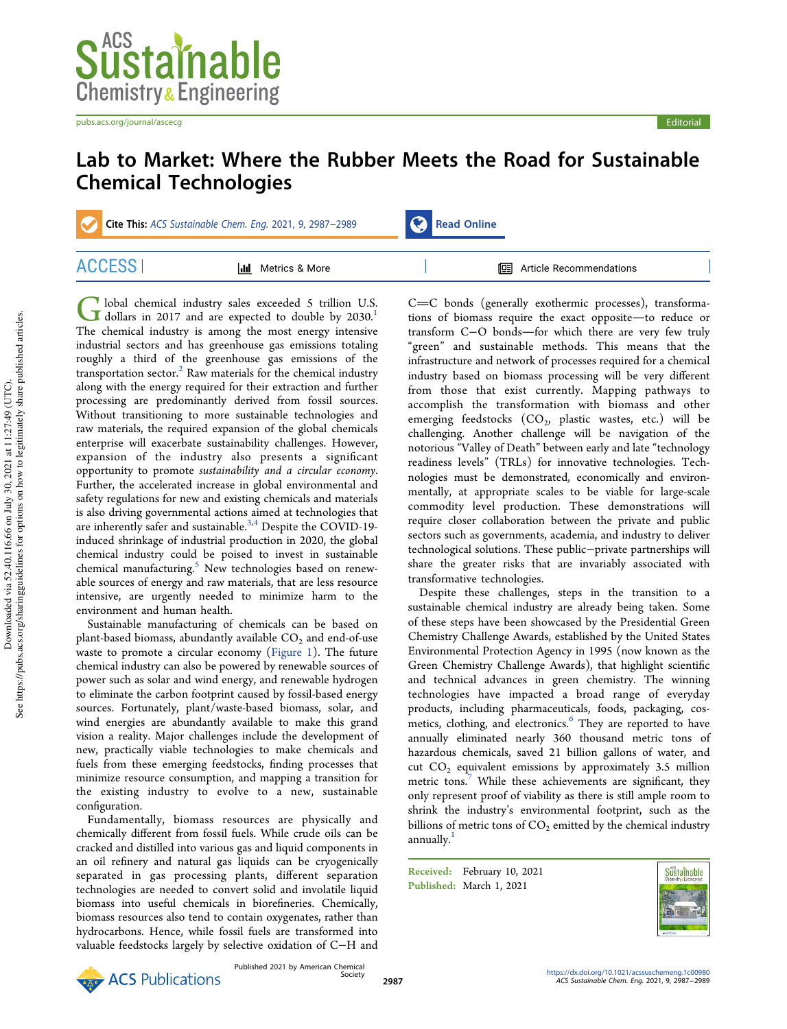pubs.acs.org/journal/ascecg entertainment of the control of the control of the control entertainment of the control of the control of the control of the control of the control of the control of the control of the control o

## Lab to Market: Where the Rubber Meets the Road for Sustainable Chemical Technologies

Cite This: ACS Sustainable Chem. Eng. 2021, 9, 2987-2989 Read Online

ACCESS | Metrics & More | Metrics Article Recommendations

G lobal chemical industry sales exceeded 5 trillion U.S.<br>dollars in 2017 and are expected to double by 2030.<sup>1</sup> lobal chemical industry sales exceeded 5 trillion U.S. The chemical industry is among the most energy intensive industrial sectors and has greenhouse gas emissions totaling roughly a third of the greenhouse gas emissions of the transportation sector.<sup>2</sup> Raw materials for the chemical industry along with the energy required for their extraction and further processing are predominantly derived from fossil sources. Without transitioning to more sustainable technologies and raw materials, the required expansion of the global chemicals enterprise will exacerbate sustainability challenges. However, expansion of the industry also presents a significant opportunity to promote *sustainability and a circular economy*. Further, the accelerated increase in global environmental and safety regulations for new and existing chemicals and materials is also driving governmental actions aimed at technologies that are inherently safer and sustainable.<sup>3,4</sup> Despite the COVID-19induced shrinkage of industrial production in 2020, the global chemical industry could be poised to invest in sustainable chemical manufacturing.<sup>5</sup> New technologies based on renewable sources of energy and raw materials, that are less resource intensive, are urgently needed to minimize harm to the environment and human health.

Sustainable manufacturing of chemicals can be based on plant-based biomass, abundantly available  $\mathrm{CO}_2$  and end-of-use waste to promote a circular economy (Figure 1). The future chemical industry can also be powered by renewable sources of power such as solar and wind energy, and renewable hydrogen to eliminate the carbon footprint caused by fossil-based energy sources. Fortunately, plant/waste-based biomass, solar, and wind energies are abundantly available to make this grand vision a reality. Major challenges include the development of new, practically viable technologies to make chemicals and fuels from these emerging feedstocks, finding processes that minimize resource consumption, and mapping a transition for the existing industry to evolve to a new, sustainable configuration.

Fundamentally, biomass resources are physically and chemically different from fossil fuels. While crude oils can be cracked and distilled into various gas and liquid components in an oil refinery and natural gas liquids can be cryogenically separated in gas processing plants, different separation technologies are needed to convert solid and involatile liquid biomass into useful chemicals in biorefineries. Chemically, biomass resources also tend to contain oxygenates, rather than hydrocarbons. Hence, while fossil fuels are transformed into valuable feedstocks largely by selective oxidation of C−H and

 $C=C$  bonds (generally exothermic processes), transformations of biomass require the exact opposite—to reduce or transform C−O bonds—for which there are very few truly "green" and sustainable methods. This means that the infrastructure and network of processes required for a chemical industry based on biomass processing will be very different from those that exist currently. Mapping pathways to accomplish the transformation with biomass and other emerging feedstocks  $(CO_2)$ , plastic wastes, etc.) will be challenging. Another challenge will be navigation of the notorious "Valley of Death" between early and late "technology readiness levels" (TRLs) for innovative technologies. Technologies must be demonstrated, economically and environmentally, at appropriate scales to be viable for large-scale commodity level production. These demonstrations will require closer collaboration between the private and public sectors such as governments, academia, and industry to deliver technological solutions. These public−private partnerships will share the greater risks that are invariably associated with transformative technologies.

Despite these challenges, steps in the transition to a sustainable chemical industry are already being taken. Some of these steps have been showcased by the Presidential Green Chemistry Challenge Awards, established by the United States Environmental Protection Agency in 1995 (now known as the Green Chemistry Challenge Awards), that highlight scientific and technical advances in green chemistry. The winning technologies have impacted a broad range of everyday products, including pharmaceuticals, foods, packaging, cosmetics, clothing, and electronics.<sup>6</sup> They are reported to have annually eliminated nearly 360 thousand metric tons of hazardous chemicals, saved 21 billion gallons of water, and cut  $CO<sub>2</sub>$  equivalent emissions by approximately 3.5 million metric tons.<sup>7</sup> While these achievements are significant, they only represent proof of viability as there is still ample room to shrink the industry's environmental footprint, such as the billions of metric tons of  $CO<sub>2</sub>$  emitted by the chemical industry annually.<sup>1</sup>

Received: February 10, 2021 Published: March 1, 2021



Published 2021 by American Chemical Society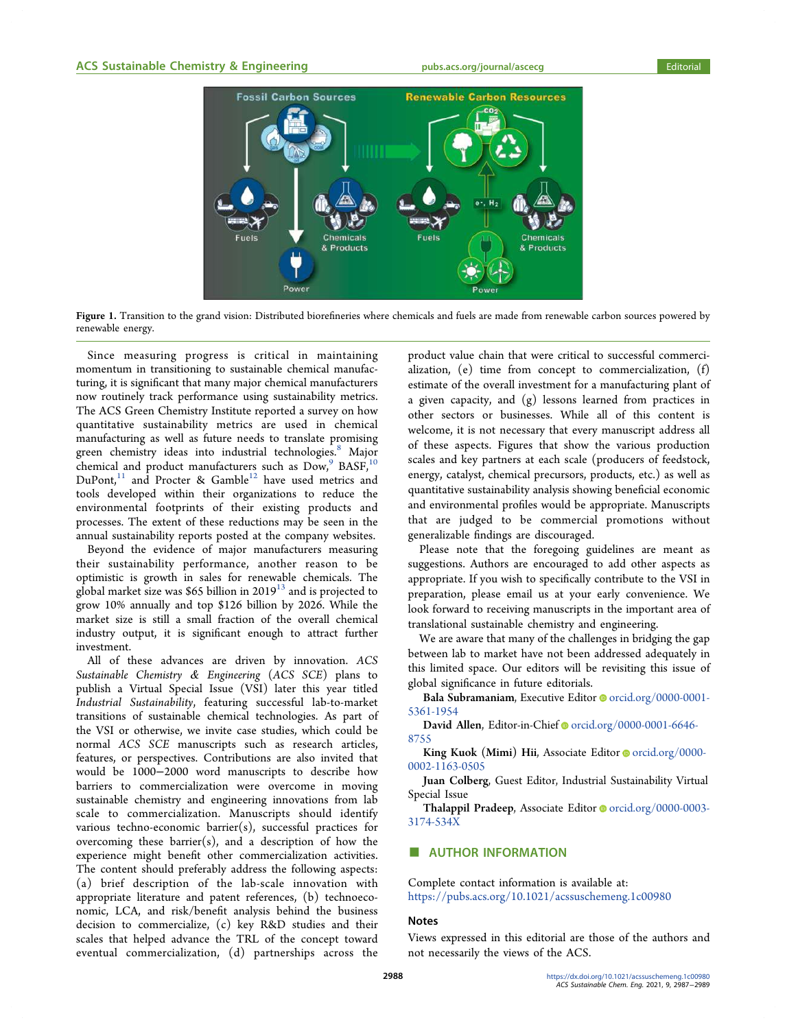

Figure 1. Transition to the grand vision: Distributed biorefineries where chemicals and fuels are made from renewable carbon sources powered by renewable energy.

Since measuring progress is critical in maintaining momentum in transitioning to sustainable chemical manufacturing, it is significant that many major chemical manufacturers now routinely track performance using sustainability metrics. The ACS Green Chemistry Institute reported a survey on how quantitative sustainability metrics are used in chemical manufacturing as well as future needs to translate promising green chemistry ideas into industrial technologies.<sup>8</sup> Major chemical and product manufacturers such as  $\overline{\mathrm{Dow}}^9_\nu$  BASF,  $^{10}$  $Du\text{Pont}$ ,<sup>11</sup> and Procter & Gamble<sup>12</sup> have used metrics and tools developed within their organizations to reduce the environmental footprints of their existing products and processes. The extent of these reductions may be seen in the annual sustainability reports posted at the company websites.

Beyond the evidence of major manufacturers measuring their sustainability performance, another reason to be optimistic is growth in sales for renewable chemicals. The global market size was \$65 billion in 2019<sup>13</sup> and is projected to grow 10% annually and top \$126 billion by 2026. While the market size is still a small fraction of the overall chemical industry output, it is significant enough to attract further investment.

All of these advances are driven by innovation. *ACS Sustainable Chemistry* & *Engineering* (*ACS SCE*) plans to publish a Virtual Special Issue (VSI) later this year titled *Industrial Sustainability*, featuring successful lab-to-market transitions of sustainable chemical technologies. As part of the VSI or otherwise, we invite case studies, which could be normal *ACS SCE* manuscripts such as research articles, features, or perspectives. Contributions are also invited that would be 1000−2000 word manuscripts to describe how barriers to commercialization were overcome in moving sustainable chemistry and engineering innovations from lab scale to commercialization. Manuscripts should identify various techno-economic barrier(s), successful practices for overcoming these barrier(s), and a description of how the experience might benefit other commercialization activities. The content should preferably address the following aspects: (a) brief description of the lab-scale innovation with appropriate literature and patent references, (b) technoeconomic, LCA, and risk/benefit analysis behind the business decision to commercialize, (c) key R&D studies and their scales that helped advance the TRL of the concept toward eventual commercialization, (d) partnerships across the

product value chain that were critical to successful commercialization, (e) time from concept to commercialization, (f) estimate of the overall investment for a manufacturing plant of a given capacity, and (g) lessons learned from practices in other sectors or businesses. While all of this content is welcome, it is not necessary that every manuscript address all of these aspects. Figures that show the various production scales and key partners at each scale (producers of feedstock, energy, catalyst, chemical precursors, products, etc.) as well as quantitative sustainability analysis showing beneficial economic and environmental profiles would be appropriate. Manuscripts that are judged to be commercial promotions without generalizable findings are discouraged.

Please note that the foregoing guidelines are meant as suggestions. Authors are encouraged to add other aspects as appropriate. If you wish to specifically contribute to the VSI in preparation, please email us at your early convenience. We look forward to receiving manuscripts in the important area of translational sustainable chemistry and engineering.

We are aware that many of the challenges in bridging the gap between lab to market have not been addressed adequately in this limited space. Our editors will be revisiting this issue of global significance in future editorials.

Bala Subramaniam, Executive Editor @orcid.org/0000-0001-5361-1954

David Allen, Editor-in-Chief orcid.org/0000-0001-6646-8755

King Kuok (Mimi) Hii, Associate Editor orcid.org/0000-0002-1163-0505

Juan Colberg, Guest Editor, Industrial Sustainability Virtual Special Issue

Thalappil Pradeep, Associate Editor orcid.org/0000-0003-3174-534X

### **AUTHOR INFORMATION**

Complete contact information is available at: https://pubs.acs.org/10.1021/acssuschemeng.1c00980

#### Notes

Views expressed in this editorial are those of the authors and not necessarily the views of the ACS.